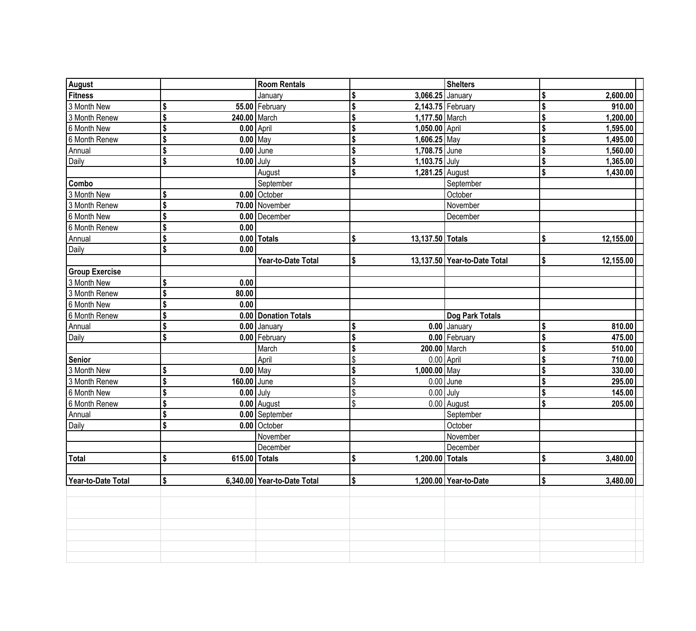| <b>Shelters</b><br><b>August</b><br><b>Room Rentals</b><br><b>Fitness</b><br>3,066.25 January<br>2,600.00<br>\$<br>January<br>910.00<br>3 Month New<br>\$<br>55.00 February<br>2,143.75 February<br>\$<br>1,200.00<br>1,177.50 March<br>3 Month Renew<br>\$<br>240.00 March<br>\$ |  |
|-----------------------------------------------------------------------------------------------------------------------------------------------------------------------------------------------------------------------------------------------------------------------------------|--|
|                                                                                                                                                                                                                                                                                   |  |
|                                                                                                                                                                                                                                                                                   |  |
|                                                                                                                                                                                                                                                                                   |  |
| $0.00$ April<br>1,050.00 April<br>6 Month New<br>\$<br>1,595.00<br>\$                                                                                                                                                                                                             |  |
| $0.00$ May<br>\$<br>$1,606.25$ May<br>1,495.00<br>6 Month Renew                                                                                                                                                                                                                   |  |
| 1,560.00<br>$0.00$ June<br>1,708.75 June                                                                                                                                                                                                                                          |  |
| \$<br>Annual<br>\$<br>\$<br>1,365.00<br>$10.00$ July                                                                                                                                                                                                                              |  |
| 1,103.75 July<br>Daily<br>\$<br>\$<br>\$<br>1,430.00                                                                                                                                                                                                                              |  |
| 1,281.25 August<br>August<br>Combo<br>September<br>September                                                                                                                                                                                                                      |  |
| 3 Month New<br>0.00 October                                                                                                                                                                                                                                                       |  |
| \$<br>October<br>\$                                                                                                                                                                                                                                                               |  |
| 3 Month Renew<br>70.00 November<br>November                                                                                                                                                                                                                                       |  |
| \$<br>6 Month New<br>0.00 December<br>December                                                                                                                                                                                                                                    |  |
| \$<br>6 Month Renew<br>0.00                                                                                                                                                                                                                                                       |  |
| \$<br>$0.00$ Totals<br>13,137.50 Totals<br>\$<br>\$<br>12,155.00<br>Annual                                                                                                                                                                                                        |  |
| \$<br>0.00<br>Daily                                                                                                                                                                                                                                                               |  |
| Year-to-Date Total<br>13,137.50 Year-to-Date Total<br>12,155.00<br>\$<br>\$                                                                                                                                                                                                       |  |
| <b>Group Exercise</b>                                                                                                                                                                                                                                                             |  |
| 3 Month New<br>\$<br>0.00                                                                                                                                                                                                                                                         |  |
| 3 Month Renew<br>\$<br>80.00                                                                                                                                                                                                                                                      |  |
| 6 Month New<br>\$<br>0.00                                                                                                                                                                                                                                                         |  |
| 6 Month Renew<br>\$<br>0.00 Donation Totals<br>Dog Park Totals                                                                                                                                                                                                                    |  |
| \$<br>0.00 January<br>810.00<br>0.00 January<br>Annual<br>\$                                                                                                                                                                                                                      |  |
| \$<br>475.00<br>0.00 February<br>Daily<br>0.00   February<br>\$                                                                                                                                                                                                                   |  |
| 510.00<br>200.00 March<br>March<br>\$                                                                                                                                                                                                                                             |  |
| 710.00<br>April<br>$0.00$ April<br>\$<br>Senior                                                                                                                                                                                                                                   |  |
| $0.00$ May<br>$1,000.00$ May<br>3 Month New<br>\$<br>330.00<br>\$                                                                                                                                                                                                                 |  |
| \$<br>3 Month Renew<br>160.00 June<br>\$<br>$0.00$ June<br>\$<br>295.00                                                                                                                                                                                                           |  |
| \$<br>$0.00$ July<br>145.00<br>6 Month New<br>$0.00$ July<br>\$<br>\$                                                                                                                                                                                                             |  |
| \$<br>$0.00$ August<br>6 Month Renew<br>\$<br>$0.00$ August<br>\$<br>205.00                                                                                                                                                                                                       |  |
| \$<br>0.00 September<br>September<br>Annual                                                                                                                                                                                                                                       |  |
| \$<br>Daily<br>0.00 October<br>October                                                                                                                                                                                                                                            |  |
| November<br>November                                                                                                                                                                                                                                                              |  |
| December<br>December                                                                                                                                                                                                                                                              |  |
| Total<br>\$<br>615.00 Totals<br>1,200.00 Totals<br>\$<br>3,480.00<br>\$                                                                                                                                                                                                           |  |
|                                                                                                                                                                                                                                                                                   |  |
| 6,340.00 Year-to-Date Total<br>\$<br>\$<br>1,200.00 Year-to-Date<br>3,480.00<br>Year-to-Date Total<br>\$                                                                                                                                                                          |  |
|                                                                                                                                                                                                                                                                                   |  |
|                                                                                                                                                                                                                                                                                   |  |
|                                                                                                                                                                                                                                                                                   |  |
|                                                                                                                                                                                                                                                                                   |  |
|                                                                                                                                                                                                                                                                                   |  |
|                                                                                                                                                                                                                                                                                   |  |
|                                                                                                                                                                                                                                                                                   |  |